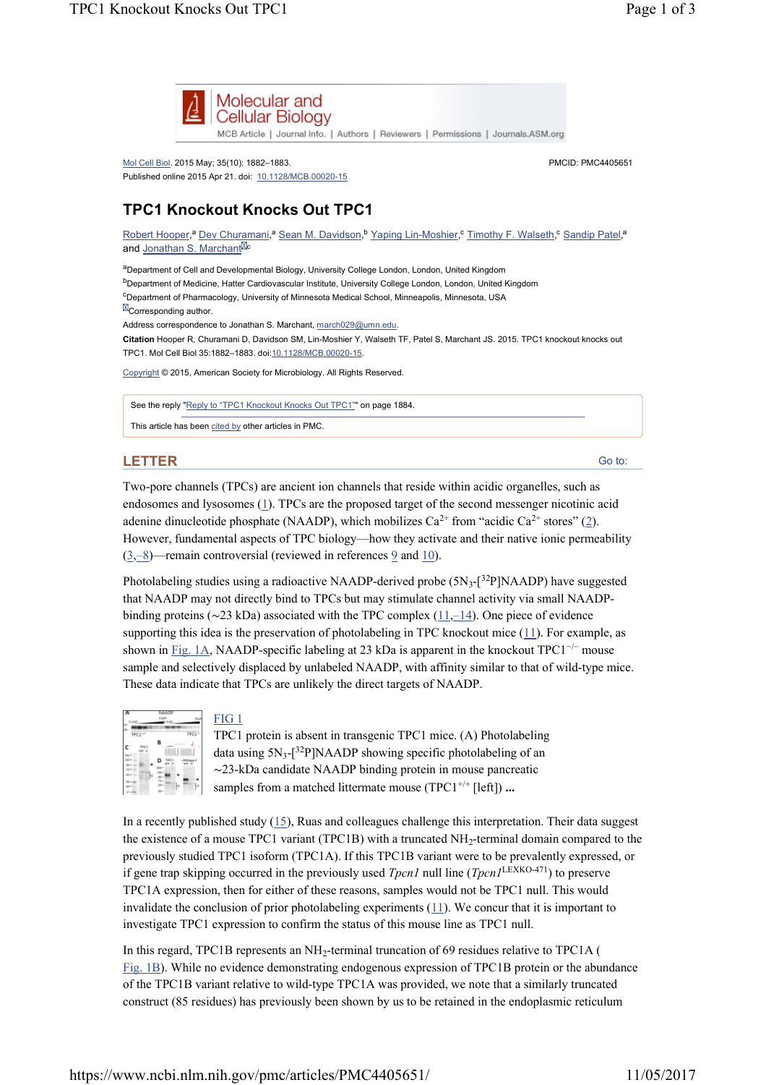

MCB Article | Journal Info. | Authors | Reviewers | Permissions | Journals.ASM.org

Mol Cell Biol. 2015 May; 35(10): 1882–1883. Published online 2015 Apr 21. doi: 10.1128/MCB.00020-15

## **TPC1 Knockout Knocks Out TPC1**

Robert Hooper,<sup>a</sup> Dev Churamani,<sup>a</sup> Sean M. Davidson, <sup>b</sup> Yaping Lin-Moshier, <sup>c</sup> Timothy F. Walseth, <sup>c</sup> Sandip Patel,<sup>a</sup> and Jonathan S. Marchant<sup>Mc</sup>

aDepartment of Cell and Developmental Biology, University College London, London, United Kingdom <sup>b</sup>Department of Medicine, Hatter Cardiovascular Institute, University College London, London, United Kingdom <sup>c</sup>Department of Pharmacology, University of Minnesota Medical School, Minneapolis, Minnesota, USA  $\boxtimes$  Corresponding author. Address correspondence to Jonathan S. Marchant, march029@umn.edu.

**Citation** Hooper R, Churamani D, Davidson SM, Lin-Moshier Y, Walseth TF, Patel S, Marchant JS. 2015. TPC1 knockout knocks out TPC1. Mol Cell Biol 35:1882–1883. doi:10.1128/MCB.00020-15.

Copyright © 2015, American Society for Microbiology. All Rights Reserved.

See the reply "Reply to "TPC1 Knockout Knocks Out TPC1"" on page 1884.

This article has been cited by other articles in PMC.

## **LETTER**

Go to:

PMCID: PMC4405651

Two-pore channels (TPCs) are ancient ion channels that reside within acidic organelles, such as endosomes and lysosomes (1). TPCs are the proposed target of the second messenger nicotinic acid adenine dinucleotide phosphate (NAADP), which mobilizes  $Ca^{2+}$  from "acidic  $Ca^{2+}$  stores" (2). However, fundamental aspects of TPC biology—how they activate and their native ionic permeability  $(3,-8)$ —remain controversial (reviewed in references 9 and 10).

Photolabeling studies using a radioactive NAADP-derived probe  $(5N<sub>3</sub>-[^{32}P]NAADP)$  have suggested that NAADP may not directly bind to TPCs but may stimulate channel activity via small NAADPbinding proteins (∼23 kDa) associated with the TPC complex  $(11,-14)$ . One piece of evidence supporting this idea is the preservation of photolabeling in TPC knockout mice (11). For example, as shown in Fig. 1A, NAADP-specific labeling at 23 kDa is apparent in the knockout TPC1<sup>-/-</sup> mouse sample and selectively displaced by unlabeled NAADP, with affinity similar to that of wild-type mice. These data indicate that TPCs are unlikely the direct targets of NAADP.



## FIG 1

TPC1 protein is absent in transgenic TPC1 mice. (A) Photolabeling data using  $5N_3$ -[<sup>32</sup>P]NAADP showing specific photolabeling of an ∼23-kDa candidate NAADP binding protein in mouse pancreatic samples from a matched littermate mouse (TPC1<sup>+/+</sup> [left]) ...

In a recently published study  $(15)$ , Ruas and colleagues challenge this interpretation. Their data suggest the existence of a mouse TPC1 variant (TPC1B) with a truncated  $NH<sub>2</sub>$ -terminal domain compared to the previously studied TPC1 isoform (TPC1A). If this TPC1B variant were to be prevalently expressed, or if gene trap skipping occurred in the previously used *Tpcn1* null line  $(Tpcn)^{\text{LEXKO-471}}$  to preserve TPC1A expression, then for either of these reasons, samples would not be TPC1 null. This would invalidate the conclusion of prior photolabeling experiments (11). We concur that it is important to investigate TPC1 expression to confirm the status of this mouse line as TPC1 null.

In this regard, TPC1B represents an  $NH_2$ -terminal truncation of 69 residues relative to TPC1A ( Fig. 1B). While no evidence demonstrating endogenous expression of TPC1B protein or the abundance of the TPC1B variant relative to wild-type TPC1A was provided, we note that a similarly truncated construct (85 residues) has previously been shown by us to be retained in the endoplasmic reticulum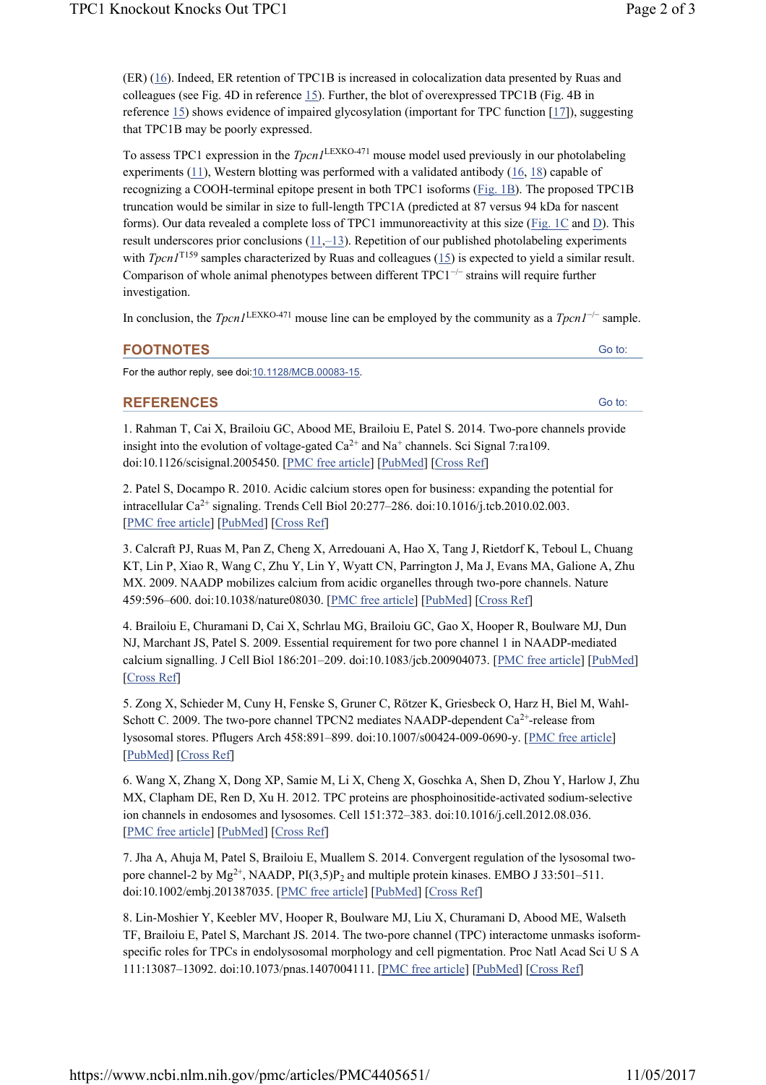Go to:

Go to:

(ER) (16). Indeed, ER retention of TPC1B is increased in colocalization data presented by Ruas and colleagues (see Fig. 4D in reference 15). Further, the blot of overexpressed TPC1B (Fig. 4B in reference  $15$ ) shows evidence of impaired glycosylation (important for TPC function  $[17]$ ), suggesting that TPC1B may be poorly expressed.

To assess TPC1 expression in the  $TpcnI<sup>LEXKO-471</sup>$  mouse model used previously in our photolabeling experiments  $(11)$ , Western blotting was performed with a validated antibody  $(16, 18)$  capable of recognizing a COOH-terminal epitope present in both TPC1 isoforms (Fig. 1B). The proposed TPC1B truncation would be similar in size to full-length TPC1A (predicted at 87 versus 94 kDa for nascent forms). Our data revealed a complete loss of TPC1 immunoreactivity at this size (Fig. 1C and D). This result underscores prior conclusions  $(11,-13)$ . Repetition of our published photolabeling experiments with *Tpcn1*<sup>T159</sup> samples characterized by Ruas and colleagues ( $15$ ) is expected to yield a similar result. Comparison of whole animal phenotypes between different  $TPC1^{-/-}$  strains will require further investigation.

In conclusion, the  $TpcnI^{\text{LEXKO-471}}$  mouse line can be employed by the community as a  $TpcnI^{-/-}$  sample.

| . . |  |
|-----|--|
|-----|--|

For the author reply, see doi:10.1128/MCB.00083-15.

**REFERENCES**

1. Rahman T, Cai X, Brailoiu GC, Abood ME, Brailoiu E, Patel S. 2014. Two-pore channels provide insight into the evolution of voltage-gated  $Ca^{2+}$  and Na<sup>+</sup> channels. Sci Signal 7:ra109. doi:10.1126/scisignal.2005450. [PMC free article] [PubMed] [Cross Ref]

2. Patel S, Docampo R. 2010. Acidic calcium stores open for business: expanding the potential for intracellular Ca<sup>2+</sup> signaling. Trends Cell Biol 20:277-286. doi:10.1016/j.tcb.2010.02.003. [PMC free article] [PubMed] [Cross Ref]

3. Calcraft PJ, Ruas M, Pan Z, Cheng X, Arredouani A, Hao X, Tang J, Rietdorf K, Teboul L, Chuang KT, Lin P, Xiao R, Wang C, Zhu Y, Lin Y, Wyatt CN, Parrington J, Ma J, Evans MA, Galione A, Zhu MX. 2009. NAADP mobilizes calcium from acidic organelles through two-pore channels. Nature 459:596–600. doi:10.1038/nature08030. [PMC free article] [PubMed] [Cross Ref]

4. Brailoiu E, Churamani D, Cai X, Schrlau MG, Brailoiu GC, Gao X, Hooper R, Boulware MJ, Dun NJ, Marchant JS, Patel S. 2009. Essential requirement for two pore channel 1 in NAADP-mediated calcium signalling. J Cell Biol 186:201–209. doi:10.1083/jcb.200904073. [PMC free article] [PubMed] [Cross Ref]

5. Zong X, Schieder M, Cuny H, Fenske S, Gruner C, Rötzer K, Griesbeck O, Harz H, Biel M, Wahl-Schott C. 2009. The two-pore channel TPCN2 mediates NAADP-dependent  $Ca^{2+}$ -release from lysosomal stores. Pflugers Arch 458:891–899. doi:10.1007/s00424-009-0690-y. [PMC free article] [PubMed] [Cross Ref]

6. Wang X, Zhang X, Dong XP, Samie M, Li X, Cheng X, Goschka A, Shen D, Zhou Y, Harlow J, Zhu MX, Clapham DE, Ren D, Xu H. 2012. TPC proteins are phosphoinositide-activated sodium-selective ion channels in endosomes and lysosomes. Cell 151:372–383. doi:10.1016/j.cell.2012.08.036. [PMC free article] [PubMed] [Cross Ref]

7. Jha A, Ahuja M, Patel S, Brailoiu E, Muallem S. 2014. Convergent regulation of the lysosomal twopore channel-2 by  $Mg^{2+}$ , NAADP, PI(3,5)P<sub>2</sub> and multiple protein kinases. EMBO J 33:501–511. doi:10.1002/embj.201387035. [PMC free article] [PubMed] [Cross Ref]

8. Lin-Moshier Y, Keebler MV, Hooper R, Boulware MJ, Liu X, Churamani D, Abood ME, Walseth TF, Brailoiu E, Patel S, Marchant JS. 2014. The two-pore channel (TPC) interactome unmasks isoformspecific roles for TPCs in endolysosomal morphology and cell pigmentation. Proc Natl Acad Sci U S A 111:13087–13092. doi:10.1073/pnas.1407004111. [PMC free article] [PubMed] [Cross Ref]